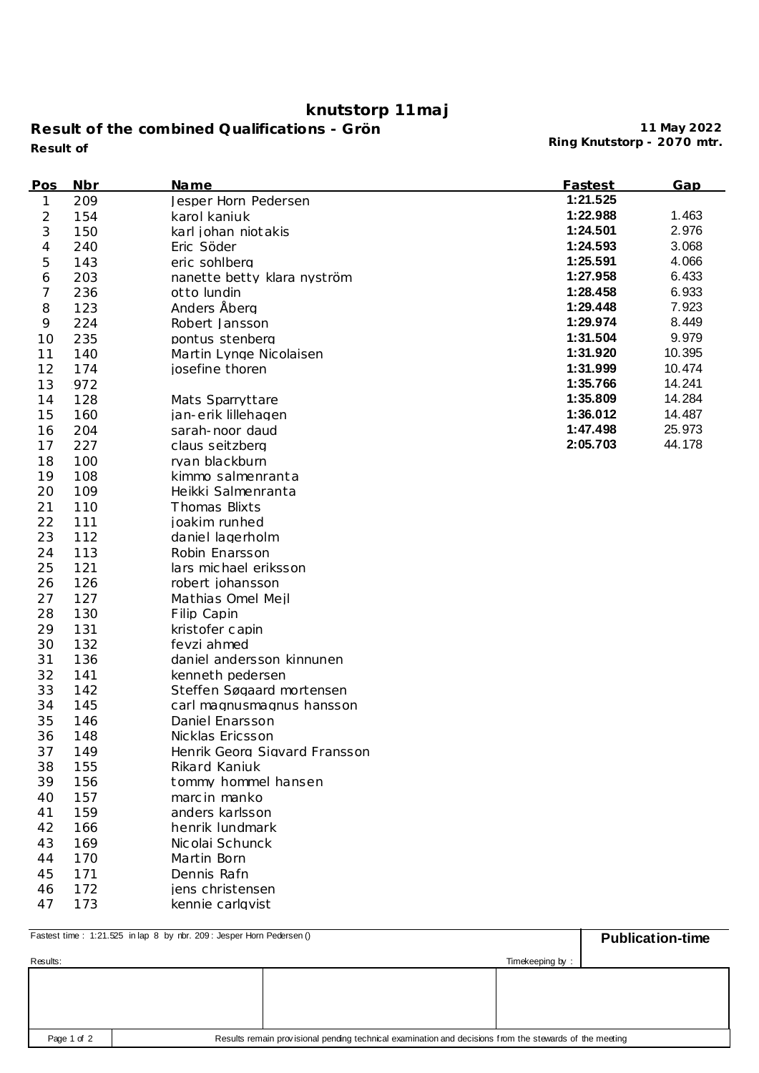## **knutstorp 11maj**

**Result of the combined Qualifications - Grön Ring Knutstorp - 2070 mtr. Result of**

**11 May 2022**

| Pos | Nbr | <u>Name</u>                   | Fastest  | Gap    |
|-----|-----|-------------------------------|----------|--------|
| 1   | 209 | Jesper Horn Pedersen          | 1:21.525 |        |
| 2   | 154 | karol kaniuk                  | 1:22.988 | 1.463  |
| 3   | 150 | karl johan niot akis          | 1:24.501 | 2.976  |
| 4   | 240 | Eric Söder                    | 1:24.593 | 3.068  |
| 5   | 143 | eric sohlbera                 | 1:25.591 | 4.066  |
| 6   | 203 | nanette betty klara nyström   | 1:27.958 | 6.433  |
| 7   | 236 | ot to lundin                  | 1:28.458 | 6.933  |
| 8   | 123 | Anders Åberg                  | 1:29.448 | 7.923  |
| 9   | 224 | Robert Jansson                | 1:29.974 | 8.449  |
| 10  | 235 | pontus stenberg               | 1:31.504 | 9.979  |
| 11  | 140 | Martin Lynge Nicolaisen       | 1:31.920 | 10.395 |
| 12  | 174 | josefine thoren               | 1:31.999 | 10.474 |
| 13  | 972 |                               | 1:35.766 | 14.241 |
| 14  | 128 | Mats Sparryttare              | 1:35.809 | 14.284 |
| 15  | 160 | jan-erik lillehagen           | 1:36.012 | 14.487 |
| 16  | 204 | sarah-noor daud               | 1:47.498 | 25.973 |
| 17  | 227 | claus seitzberg               | 2:05.703 | 44.178 |
| 18  | 100 | rvan blackburn                |          |        |
| 19  | 108 | kimmo salmenranta             |          |        |
| 20  | 109 | Heikki Salmenranta            |          |        |
| 21  | 110 | Thomas Blixts                 |          |        |
| 22  | 111 | joakim runhed                 |          |        |
| 23  | 112 | daniel lagerholm              |          |        |
| 24  | 113 | Robin Enarsson                |          |        |
| 25  | 121 | lars michael eriksson         |          |        |
| 26  | 126 | robert johansson              |          |        |
| 27  | 127 | Mathias Omel Meil             |          |        |
| 28  | 130 | Filip Capin                   |          |        |
| 29  | 131 | kristofer capin               |          |        |
| 30  | 132 | fevzi ahmed                   |          |        |
| 31  | 136 | daniel andersson kinnunen     |          |        |
| 32  | 141 | kenneth pedersen              |          |        |
| 33  | 142 | Steffen Søgaard mortensen     |          |        |
| 34  | 145 | carl magnusmagnus hansson     |          |        |
| 35  | 146 | Daniel Enarsson               |          |        |
| 36  | 148 | Nicklas Ericsson              |          |        |
| 37  | 149 | Henrik Georg Sigvard Fransson |          |        |
| 38  | 155 | Rikard Kaniuk                 |          |        |
| 39  | 156 | tommy hommel hansen           |          |        |
| 40  | 157 | marc in manko                 |          |        |
| 41  | 159 | anders karlsson               |          |        |
| 42  | 166 | henrik lundmark               |          |        |
| 43  | 169 | Nicolai Schunck               |          |        |
| 44  | 170 | Martin Born                   |          |        |
| 45  | 171 | Dennis Rafn                   |          |        |
| 46  | 172 | jens christensen              |          |        |
| 47  | 173 | kennie carlgvist              |          |        |

| Fastest time: 1:21.525 in lap 8 by nbr. 209: Jesper Horn Pedersen () | <b>Publication-time</b>                                                                                 |  |
|----------------------------------------------------------------------|---------------------------------------------------------------------------------------------------------|--|
| Results:                                                             |                                                                                                         |  |
|                                                                      |                                                                                                         |  |
|                                                                      |                                                                                                         |  |
|                                                                      |                                                                                                         |  |
| Page 1 of 2                                                          | Results remain provisional pending technical examination and decisions from the stewards of the meeting |  |